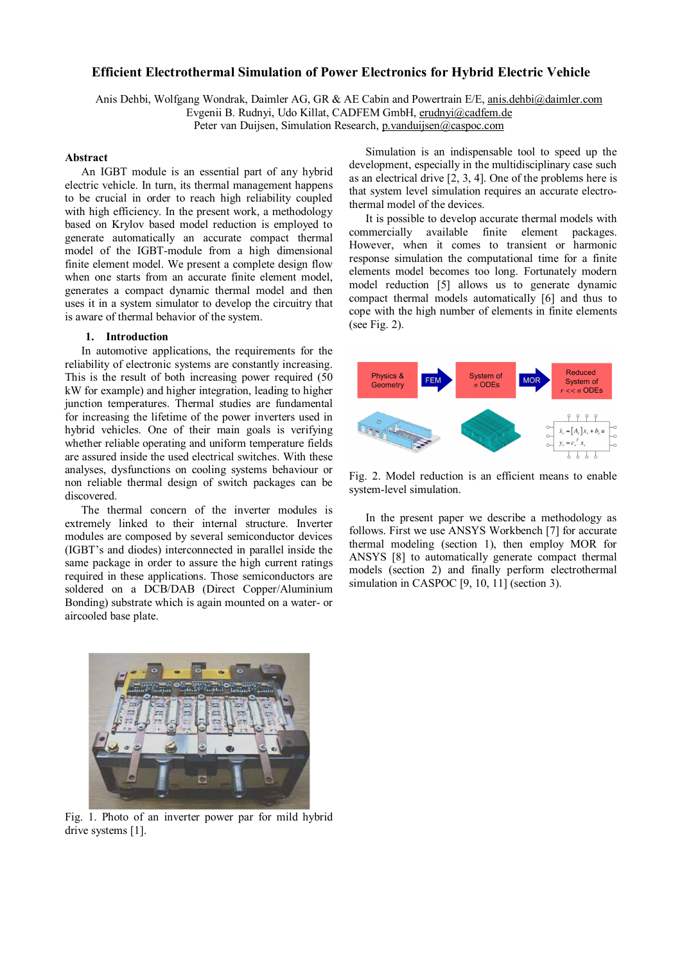# **Efficient Electrothermal Simulation of Power Electronics for Hybrid Electric Vehicle**

Anis Dehbi, Wolfgang Wondrak, Daimler AG, GR & AE Cabin and Powertrain E/E, [anis.dehbi@daimler.com](mailto:anis.dehbi@daimler.com) Evgenii B. Rudnyi, Udo Killat, CADFEM GmbH, [erudnyi@cadfem.de](mailto:erudnyi@cadfem.de)

Peter van Duijsen, Simulation Research, [p.vanduijsen@caspoc.com](mailto:p.vanduijsen@caspoc.com)

## **Abstract**

An IGBT module is an essential part of any hybrid electric vehicle. In turn, its thermal management happens to be crucial in order to reach high reliability coupled with high efficiency. In the present work, a methodology based on Krylov based model reduction is employed to generate automatically an accurate compact thermal model of the IGBT-module from a high dimensional finite element model. We present a complete design flow when one starts from an accurate finite element model, generates a compact dynamic thermal model and then uses it in a system simulator to develop the circuitry that is aware of thermal behavior of the system.

### **1. Introduction**

In automotive applications, the requirements for the reliability of electronic systems are constantly increasing. This is the result of both increasing power required (50 kW for example) and higher integration, leading to higher junction temperatures. Thermal studies are fundamental for increasing the lifetime of the power inverters used in hybrid vehicles. One of their main goals is verifying whether reliable operating and uniform temperature fields are assured inside the used electrical switches. With these analyses, dysfunctions on cooling systems behaviour or non reliable thermal design of switch packages can be discovered.

The thermal concern of the inverter modules is extremely linked to their internal structure. Inverter modules are composed by several semiconductor devices (IGBT's and diodes) interconnected in parallel inside the same package in order to assure the high current ratings required in these applications. Those semiconductors are soldered on a DCB/DAB (Direct Copper/Aluminium Bonding) substrate which is again mounted on a water- or aircooled base plate.



Fig. 1. Photo of an inverter power par for mild hybrid drive systems [1].

Simulation is an indispensable tool to speed up the development, especially in the multidisciplinary case such as an electrical drive [2, 3, 4]. One of the problems here is that system level simulation requires an accurate electrothermal model of the devices.

It is possible to develop accurate thermal models with commercially available finite element packages. However, when it comes to transient or harmonic response simulation the computational time for a finite elements model becomes too long. Fortunately modern model reduction [5] allows us to generate dynamic compact thermal models automatically [6] and thus to cope with the high number of elements in finite elements (see Fig. 2).



Fig. 2. Model reduction is an efficient means to enable system-level simulation.

In the present paper we describe a methodology as follows. First we use ANSYS Workbench [7] for accurate thermal modeling (section 1), then employ MOR for ANSYS [8] to automatically generate compact thermal models (section 2) and finally perform electrothermal simulation in CASPOC [9, 10, 11] (section 3).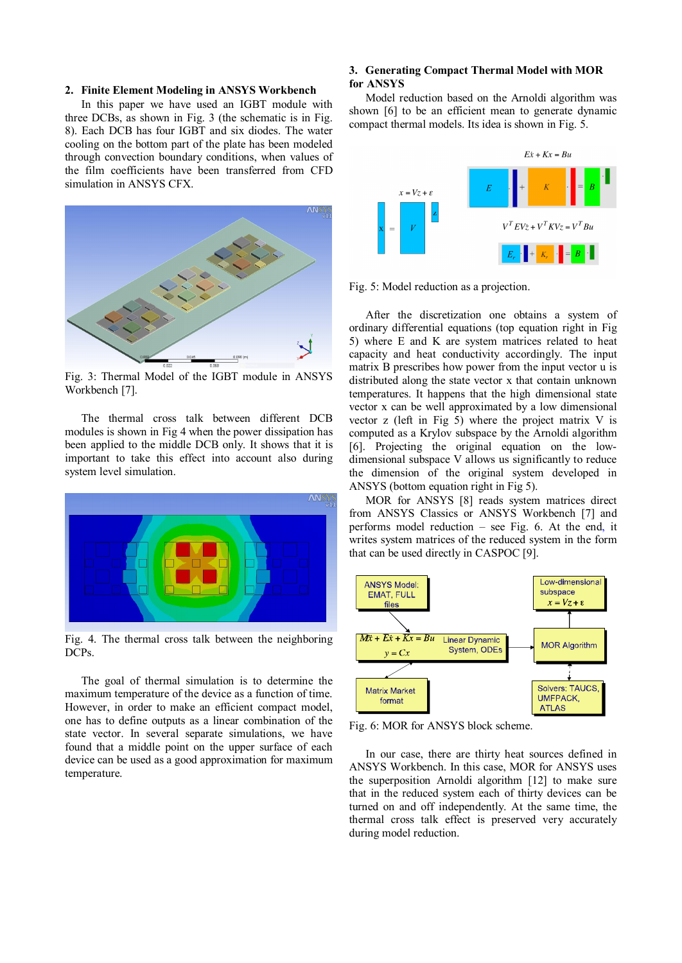#### **2. Finite Element Modeling in ANSYS Workbench**

In this paper we have used an IGBT module with three DCBs, as shown in Fig. 3 (the schematic is in Fig. 8). Each DCB has four IGBT and six diodes. The water cooling on the bottom part of the plate has been modeled through convection boundary conditions, when values of the film coefficients have been transferred from CFD simulation in ANSYS CFX.



Fig. 3: Thermal Model of the IGBT module in ANSYS Workbench [7].

The thermal cross talk between different DCB modules is shown in Fig 4 when the power dissipation has been applied to the middle DCB only. It shows that it is important to take this effect into account also during system level simulation.



Fig. 4. The thermal cross talk between the neighboring DCPs.

The goal of thermal simulation is to determine the maximum temperature of the device as a function of time. However, in order to make an efficient compact model, one has to define outputs as a linear combination of the state vector. In several separate simulations, we have found that a middle point on the upper surface of each device can be used as a good approximation for maximum temperature.

## **3. Generating Compact Thermal Model with MOR for ANSYS**

Model reduction based on the Arnoldi algorithm was shown [6] to be an efficient mean to generate dynamic compact thermal models. Its idea is shown in Fig. 5.



Fig. 5: Model reduction as a projection.

After the discretization one obtains a system of ordinary differential equations (top equation right in Fig 5) where E and K are system matrices related to heat capacity and heat conductivity accordingly. The input matrix B prescribes how power from the input vector u is distributed along the state vector x that contain unknown temperatures. It happens that the high dimensional state vector x can be well approximated by a low dimensional vector z (left in Fig 5) where the project matrix  $V$  is computed as a Krylov subspace by the Arnoldi algorithm [6]. Projecting the original equation on the lowdimensional subspace V allows us significantly to reduce the dimension of the original system developed in ANSYS (bottom equation right in Fig 5).

MOR for ANSYS [8] reads system matrices direct from ANSYS Classics or ANSYS Workbench [7] and performs model reduction – see Fig. 6. At the end, it writes system matrices of the reduced system in the form that can be used directly in CASPOC [9].



Fig. 6: MOR for ANSYS block scheme.

In our case, there are thirty heat sources defined in ANSYS Workbench. In this case, MOR for ANSYS uses the superposition Arnoldi algorithm [12] to make sure that in the reduced system each of thirty devices can be turned on and off independently. At the same time, the thermal cross talk effect is preserved very accurately during model reduction.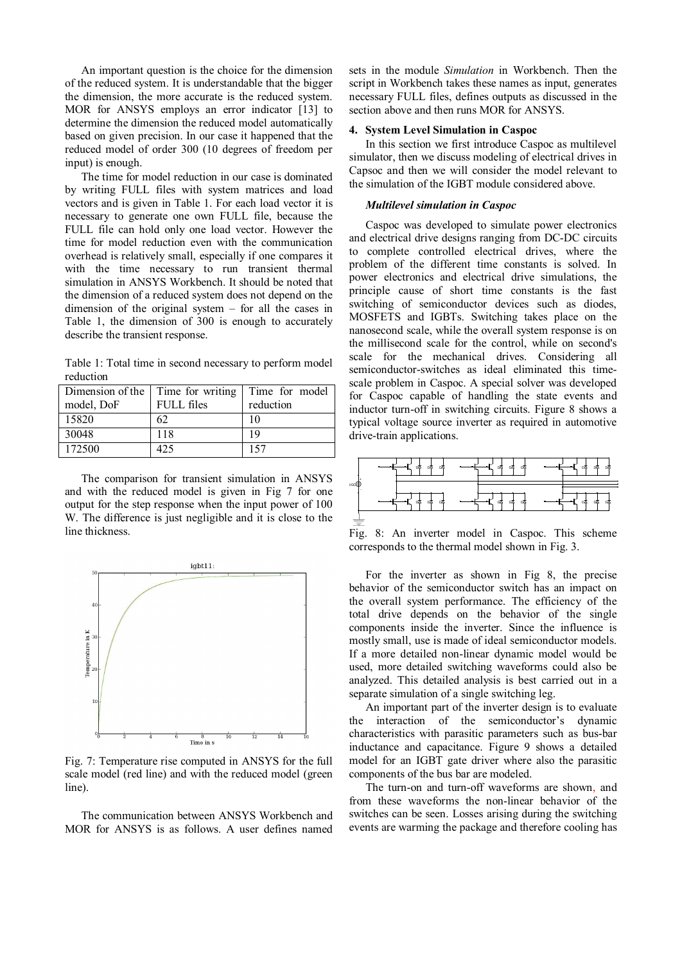An important question is the choice for the dimension of the reduced system. It is understandable that the bigger the dimension, the more accurate is the reduced system. MOR for ANSYS employs an error indicator [13] to determine the dimension the reduced model automatically based on given precision. In our case it happened that the reduced model of order 300 (10 degrees of freedom per input) is enough.

The time for model reduction in our case is dominated by writing FULL files with system matrices and load vectors and is given in Table 1. For each load vector it is necessary to generate one own FULL file, because the FULL file can hold only one load vector. However the time for model reduction even with the communication overhead is relatively small, especially if one compares it with the time necessary to run transient thermal simulation in ANSYS Workbench. It should be noted that the dimension of a reduced system does not depend on the dimension of the original system – for all the cases in Table 1, the dimension of 300 is enough to accurately describe the transient response.

Table 1: Total time in second necessary to perform model reduction

|            | Dimension of the Time for writing Time for model |           |
|------------|--------------------------------------------------|-----------|
| model, DoF | FULL files                                       | reduction |
| 15820      | 62                                               | 10        |
| 30048      | 118                                              | 19        |
| 172500     | 425                                              | 157       |

The comparison for transient simulation in ANSYS and with the reduced model is given in Fig 7 for one output for the step response when the input power of 100 W. The difference is just negligible and it is close to the line thickness.



Fig. 7: Temperature rise computed in ANSYS for the full scale model (red line) and with the reduced model (green line).

The communication between ANSYS Workbench and MOR for ANSYS is as follows. A user defines named sets in the module *Simulation* in Workbench. Then the script in Workbench takes these names as input, generates necessary FULL files, defines outputs as discussed in the section above and then runs MOR for ANSYS.

#### **4. System Level Simulation in Caspoc**

In this section we first introduce Caspoc as multilevel simulator, then we discuss modeling of electrical drives in Capsoc and then we will consider the model relevant to the simulation of the IGBT module considered above.

### *Multilevel simulation in Caspoc*

Caspoc was developed to simulate power electronics and electrical drive designs ranging from DC-DC circuits to complete controlled electrical drives, where the problem of the different time constants is solved. In power electronics and electrical drive simulations, the principle cause of short time constants is the fast switching of semiconductor devices such as diodes, MOSFETS and IGBTs. Switching takes place on the nanosecond scale, while the overall system response is on the millisecond scale for the control, while on second's scale for the mechanical drives. Considering all semiconductor-switches as ideal eliminated this timescale problem in Caspoc. A special solver was developed for Caspoc capable of handling the state events and inductor turn-off in switching circuits. Figure 8 shows a typical voltage source inverter as required in automotive drive-train applications.



Fig. 8: An inverter model in Caspoc. This scheme corresponds to the thermal model shown in Fig. 3.

For the inverter as shown in Fig 8, the precise behavior of the semiconductor switch has an impact on the overall system performance. The efficiency of the total drive depends on the behavior of the single components inside the inverter. Since the influence is mostly small, use is made of ideal semiconductor models. If a more detailed non-linear dynamic model would be used, more detailed switching waveforms could also be analyzed. This detailed analysis is best carried out in a separate simulation of a single switching leg.

An important part of the inverter design is to evaluate the interaction of the semiconductor's dynamic characteristics with parasitic parameters such as bus-bar inductance and capacitance. Figure 9 shows a detailed model for an IGBT gate driver where also the parasitic components of the bus bar are modeled.

The turn-on and turn-off waveforms are shown, and from these waveforms the non-linear behavior of the switches can be seen. Losses arising during the switching events are warming the package and therefore cooling has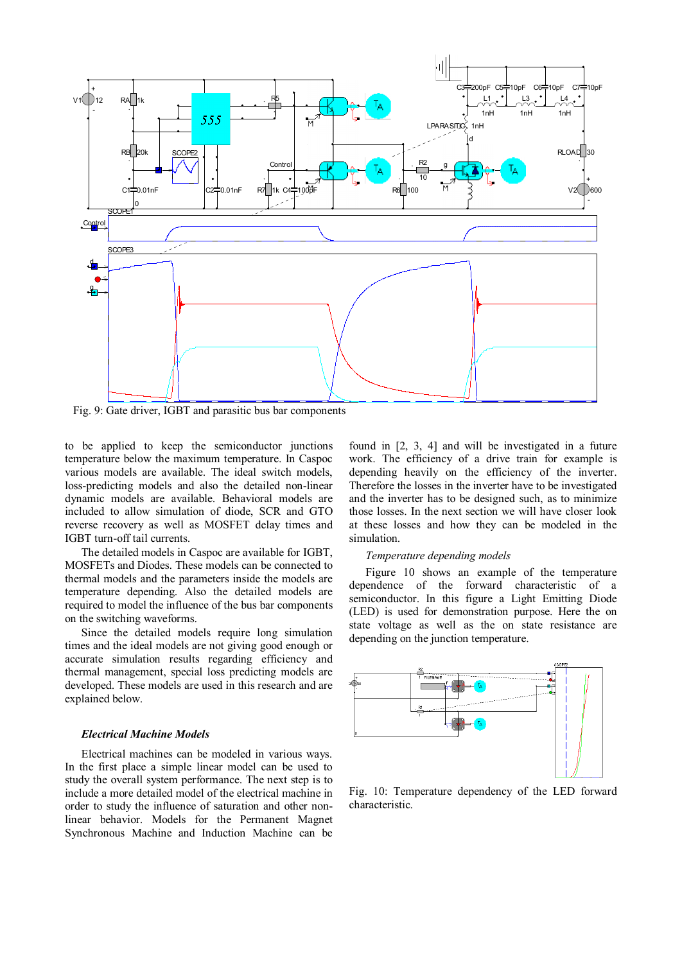

Fig. 9: Gate driver, IGBT and parasitic bus bar components

to be applied to keep the semiconductor junctions temperature below the maximum temperature. In Caspoc various models are available. The ideal switch models, loss-predicting models and also the detailed non-linear dynamic models are available. Behavioral models are included to allow simulation of diode, SCR and GTO reverse recovery as well as MOSFET delay times and IGBT turn-off tail currents.

The detailed models in Caspoc are available for IGBT, MOSFETs and Diodes. These models can be connected to thermal models and the parameters inside the models are temperature depending. Also the detailed models are required to model the influence of the bus bar components on the switching waveforms.

Since the detailed models require long simulation times and the ideal models are not giving good enough or accurate simulation results regarding efficiency and thermal management, special loss predicting models are developed. These models are used in this research and are explained below.

#### *Electrical Machine Models*

Electrical machines can be modeled in various ways. In the first place a simple linear model can be used to study the overall system performance. The next step is to include a more detailed model of the electrical machine in order to study the influence of saturation and other nonlinear behavior. Models for the Permanent Magnet Synchronous Machine and Induction Machine can be

found in [2, 3, 4] and will be investigated in a future work. The efficiency of a drive train for example is depending heavily on the efficiency of the inverter. Therefore the losses in the inverter have to be investigated and the inverter has to be designed such, as to minimize those losses. In the next section we will have closer look at these losses and how they can be modeled in the simulation.

#### *Temperature depending models*

Figure 10 shows an example of the temperature dependence of the forward characteristic of a semiconductor. In this figure a Light Emitting Diode (LED) is used for demonstration purpose. Here the on state voltage as well as the on state resistance are depending on the junction temperature.



Fig. 10: Temperature dependency of the LED forward characteristic.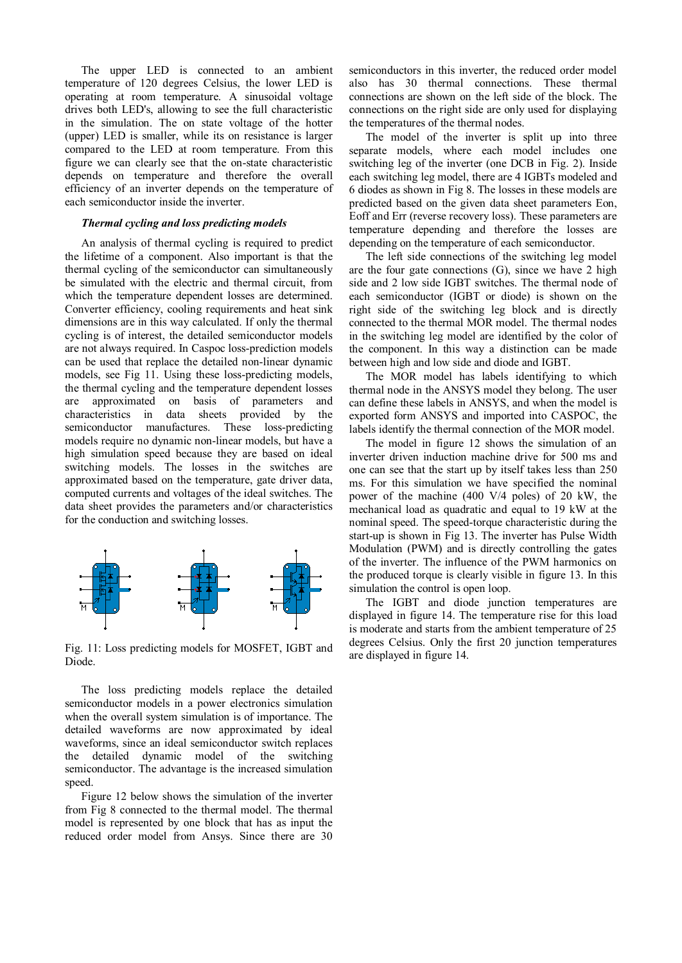The upper LED is connected to an ambient temperature of 120 degrees Celsius, the lower LED is operating at room temperature. A sinusoidal voltage drives both LED's, allowing to see the full characteristic in the simulation. The on state voltage of the hotter (upper) LED is smaller, while its on resistance is larger compared to the LED at room temperature. From this figure we can clearly see that the on-state characteristic depends on temperature and therefore the overall efficiency of an inverter depends on the temperature of each semiconductor inside the inverter.

#### *Thermal cycling and loss predicting models*

An analysis of thermal cycling is required to predict the lifetime of a component. Also important is that the thermal cycling of the semiconductor can simultaneously be simulated with the electric and thermal circuit, from which the temperature dependent losses are determined. Converter efficiency, cooling requirements and heat sink dimensions are in this way calculated. If only the thermal cycling is of interest, the detailed semiconductor models are not always required. In Caspoc loss-prediction models can be used that replace the detailed non-linear dynamic models, see Fig 11. Using these loss-predicting models, the thermal cycling and the temperature dependent losses are approximated on basis of parameters and characteristics in data sheets provided by the semiconductor manufactures. These loss-predicting models require no dynamic non-linear models, but have a high simulation speed because they are based on ideal switching models. The losses in the switches are approximated based on the temperature, gate driver data, computed currents and voltages of the ideal switches. The data sheet provides the parameters and/or characteristics for the conduction and switching losses.



Fig. 11: Loss predicting models for MOSFET, IGBT and Diode.

The loss predicting models replace the detailed semiconductor models in a power electronics simulation when the overall system simulation is of importance. The detailed waveforms are now approximated by ideal waveforms, since an ideal semiconductor switch replaces the detailed dynamic model of the switching semiconductor. The advantage is the increased simulation speed.

Figure 12 below shows the simulation of the inverter from Fig 8 connected to the thermal model. The thermal model is represented by one block that has as input the reduced order model from Ansys. Since there are 30

semiconductors in this inverter, the reduced order model also has 30 thermal connections. These thermal connections are shown on the left side of the block. The connections on the right side are only used for displaying the temperatures of the thermal nodes.

The model of the inverter is split up into three separate models, where each model includes one switching leg of the inverter (one DCB in Fig. 2). Inside each switching leg model, there are 4 IGBTs modeled and 6 diodes as shown in Fig 8. The losses in these models are predicted based on the given data sheet parameters Eon, Eoff and Err (reverse recovery loss). These parameters are temperature depending and therefore the losses are depending on the temperature of each semiconductor.

The left side connections of the switching leg model are the four gate connections (G), since we have 2 high side and 2 low side IGBT switches. The thermal node of each semiconductor (IGBT or diode) is shown on the right side of the switching leg block and is directly connected to the thermal MOR model. The thermal nodes in the switching leg model are identified by the color of the component. In this way a distinction can be made between high and low side and diode and IGBT.

The MOR model has labels identifying to which thermal node in the ANSYS model they belong. The user can define these labels in ANSYS, and when the model is exported form ANSYS and imported into CASPOC, the labels identify the thermal connection of the MOR model.

The model in figure 12 shows the simulation of an inverter driven induction machine drive for 500 ms and one can see that the start up by itself takes less than 250 ms. For this simulation we have specified the nominal power of the machine (400 V/4 poles) of 20 kW, the mechanical load as quadratic and equal to 19 kW at the nominal speed. The speed-torque characteristic during the start-up is shown in Fig 13. The inverter has Pulse Width Modulation (PWM) and is directly controlling the gates of the inverter. The influence of the PWM harmonics on the produced torque is clearly visible in figure 13. In this simulation the control is open loop.

The IGBT and diode junction temperatures are displayed in figure 14. The temperature rise for this load is moderate and starts from the ambient temperature of 25 degrees Celsius. Only the first 20 junction temperatures are displayed in figure 14.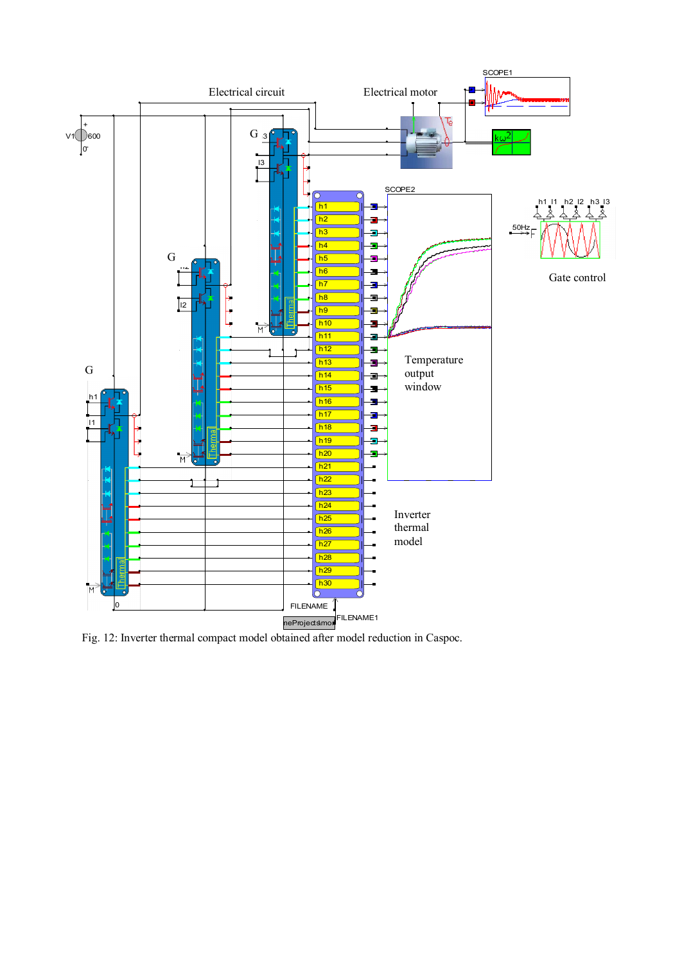

Fig. 12: Inverter thermal compact model obtained after model reduction in Caspoc.